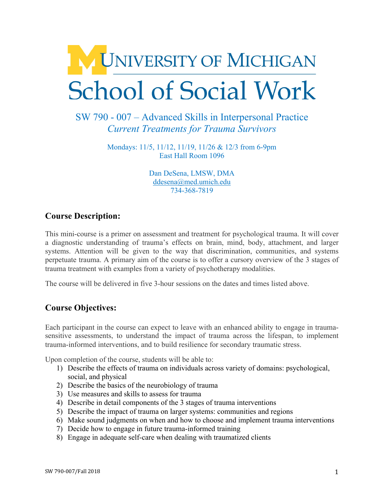# IN UNIVERSITY OF MICHIGAN **School of Social Work**

## SW 790 - 007 – Advanced Skills in Interpersonal Practice *Current Treatments for Trauma Survivors*

Mondays: 11/5, 11/12, 11/19, 11/26 & 12/3 from 6-9pm East Hall Room 1096

> Dan DeSena, LMSW, DMA ddesena@med.umich.edu 734-368-7819

## **Course Description:**

This mini-course is a primer on assessment and treatment for psychological trauma. It will cover a diagnostic understanding of trauma's effects on brain, mind, body, attachment, and larger systems. Attention will be given to the way that discrimination, communities, and systems perpetuate trauma. A primary aim of the course is to offer a cursory overview of the 3 stages of trauma treatment with examples from a variety of psychotherapy modalities.

The course will be delivered in five 3-hour sessions on the dates and times listed above.

## **Course Objectives:**

Each participant in the course can expect to leave with an enhanced ability to engage in traumasensitive assessments, to understand the impact of trauma across the lifespan, to implement trauma-informed interventions, and to build resilience for secondary traumatic stress.

Upon completion of the course, students will be able to:

- 1) Describe the effects of trauma on individuals across variety of domains: psychological, social, and physical
- 2) Describe the basics of the neurobiology of trauma
- 3) Use measures and skills to assess for trauma
- 4) Describe in detail components of the 3 stages of trauma interventions
- 5) Describe the impact of trauma on larger systems: communities and regions
- 6) Make sound judgments on when and how to choose and implement trauma interventions
- 7) Decide how to engage in future trauma-informed training
- 8) Engage in adequate self-care when dealing with traumatized clients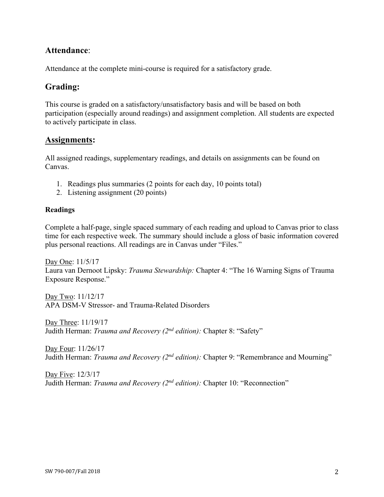## **Attendance**:

Attendance at the complete mini-course is required for a satisfactory grade.

## **Grading:**

This course is graded on a satisfactory/unsatisfactory basis and will be based on both participation (especially around readings) and assignment completion. All students are expected to actively participate in class.

#### **Assignments:**

All assigned readings, supplementary readings, and details on assignments can be found on Canvas.

- 1. Readings plus summaries (2 points for each day, 10 points total)
- 2. Listening assignment (20 points)

#### **Readings**

Complete a half-page, single spaced summary of each reading and upload to Canvas prior to class time for each respective week. The summary should include a gloss of basic information covered plus personal reactions. All readings are in Canvas under "Files."

Day One: 11/5/17 Laura van Dernoot Lipsky: *Trauma Stewardship:* Chapter 4: "The 16 Warning Signs of Trauma Exposure Response."

Day Two: 11/12/17 APA DSM-V Stressor- and Trauma-Related Disorders

Day Three: 11/19/17 Judith Herman: *Trauma and Recovery (2nd edition):* Chapter 8: "Safety"

Day Four: 11/26/17 Judith Herman: *Trauma and Recovery (2nd edition):* Chapter 9: "Remembrance and Mourning"

Day Five: 12/3/17 Judith Herman: *Trauma and Recovery (2nd edition):* Chapter 10: "Reconnection"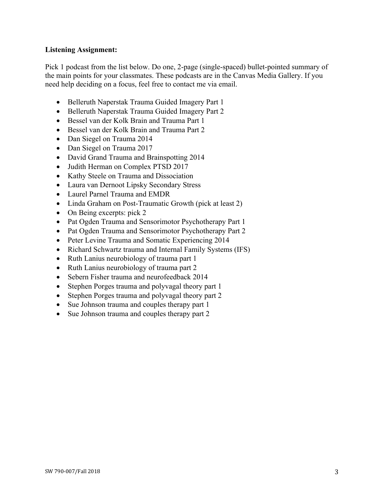#### **Listening Assignment:**

Pick 1 podcast from the list below. Do one, 2-page (single-spaced) bullet-pointed summary of the main points for your classmates. These podcasts are in the Canvas Media Gallery. If you need help deciding on a focus, feel free to contact me via email.

- Belleruth Naperstak Trauma Guided Imagery Part 1
- Belleruth Naperstak Trauma Guided Imagery Part 2
- Bessel van der Kolk Brain and Trauma Part 1
- Bessel van der Kolk Brain and Trauma Part 2
- Dan Siegel on Trauma 2014
- Dan Siegel on Trauma 2017
- David Grand Trauma and Brainspotting 2014
- Judith Herman on Complex PTSD 2017
- Kathy Steele on Trauma and Dissociation
- Laura van Dernoot Lipsky Secondary Stress
- Laurel Parnel Trauma and EMDR
- Linda Graham on Post-Traumatic Growth (pick at least 2)
- On Being excerpts: pick 2
- Pat Ogden Trauma and Sensorimotor Psychotherapy Part 1
- Pat Ogden Trauma and Sensorimotor Psychotherapy Part 2
- Peter Levine Trauma and Somatic Experiencing 2014
- Richard Schwartz trauma and Internal Family Systems (IFS)
- Ruth Lanius neurobiology of trauma part 1
- Ruth Lanius neurobiology of trauma part 2
- Sebern Fisher trauma and neurofeedback 2014
- Stephen Porges trauma and polyvagal theory part 1
- Stephen Porges trauma and polyvagal theory part 2
- Sue Johnson trauma and couples therapy part 1
- Sue Johnson trauma and couples therapy part 2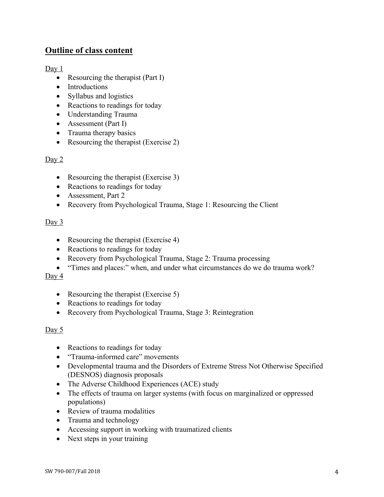## **Outline of class content**

#### Day  $1$

- Resourcing the therapist (Part I)
- Introductions
- Syllabus and logistics
- Reactions to readings for today
- Understanding Trauma
- Assessment (Part I)
- Trauma therapy basics
- Resourcing the therapist (Exercise 2)

#### Day 2

- Resourcing the therapist (Exercise 3)
- Reactions to readings for today
- Assessment, Part 2
- Recovery from Psychological Trauma, Stage 1: Resourcing the Client

#### Day 3

- Resourcing the therapist (Exercise 4)
- Reactions to readings for today
- Recovery from Psychological Trauma, Stage 2: Trauma processing
- "Times and places:" when, and under what circumstances do we do trauma work?

#### Day  $4$

- Resourcing the therapist (Exercise 5)
- Reactions to readings for today
- Recovery from Psychological Trauma, Stage 3: Reintegration

#### Day 5

- Reactions to readings for today
- "Trauma-informed care" movements
- Developmental trauma and the Disorders of Extreme Stress Not Otherwise Specified (DESNOS) diagnosis proposals
- The Adverse Childhood Experiences (ACE) study
- The effects of trauma on larger systems (with focus on marginalized or oppressed populations)
- Review of trauma modalities
- Trauma and technology
- Accessing support in working with traumatized clients
- Next steps in your training